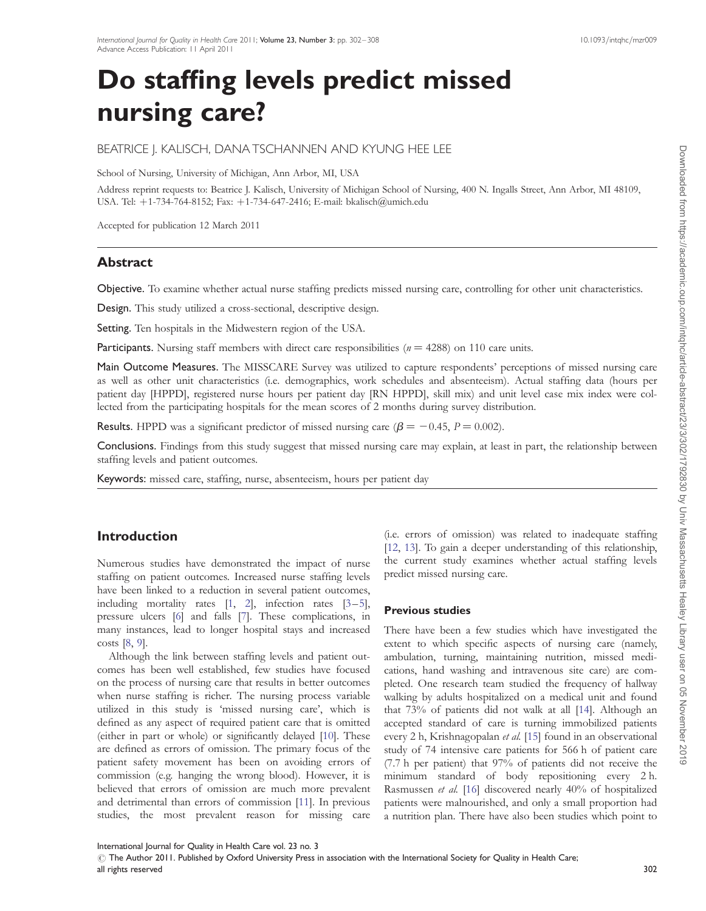# Do staffing levels predict missed nursing care?

BEATRICE J. KALISCH, DANA TSCHANNEN AND KYUNG HEE LEE

School of Nursing, University of Michigan, Ann Arbor, MI, USA

Address reprint requests to: Beatrice J. Kalisch, University of Michigan School of Nursing, 400 N. Ingalls Street, Ann Arbor, MI 48109, USA. Tel: þ1-734-764-8152; Fax: þ1-734-647-2416; E-mail: bkalisch@umich.edu

Accepted for publication 12 March 2011

## Abstract

Objective. To examine whether actual nurse staffing predicts missed nursing care, controlling for other unit characteristics.

Design. This study utilized a cross-sectional, descriptive design.

Setting. Ten hospitals in the Midwestern region of the USA.

**Participants.** Nursing staff members with direct care responsibilities ( $n = 4288$ ) on 110 care units.

Main Outcome Measures. The MISSCARE Survey was utilized to capture respondents' perceptions of missed nursing care as well as other unit characteristics (i.e. demographics, work schedules and absenteeism). Actual staffing data (hours per patient day [HPPD], registered nurse hours per patient day [RN HPPD], skill mix) and unit level case mix index were collected from the participating hospitals for the mean scores of 2 months during survey distribution.

Results. HPPD was a significant predictor of missed nursing care ( $\beta$  = -0.45, P = 0.002).

Conclusions. Findings from this study suggest that missed nursing care may explain, at least in part, the relationship between staffing levels and patient outcomes.

Keywords: missed care, staffing, nurse, absenteeism, hours per patient day

## Introduction

Numerous studies have demonstrated the impact of nurse staffing on patient outcomes. Increased nurse staffing levels have been linked to a reduction in several patient outcomes, including mortality rates [[1](#page-5-0), [2](#page-5-0)], infection rates [\[3](#page-5-0)–[5](#page-6-0)], pressure ulcers [\[6](#page-6-0)] and falls [\[7\]](#page-6-0). These complications, in many instances, lead to longer hospital stays and increased costs [[8,](#page-6-0) [9\]](#page-6-0).

Although the link between staffing levels and patient outcomes has been well established, few studies have focused on the process of nursing care that results in better outcomes when nurse staffing is richer. The nursing process variable utilized in this study is 'missed nursing care', which is defined as any aspect of required patient care that is omitted (either in part or whole) or significantly delayed [\[10](#page-6-0)]. These are defined as errors of omission. The primary focus of the patient safety movement has been on avoiding errors of commission (e.g. hanging the wrong blood). However, it is believed that errors of omission are much more prevalent and detrimental than errors of commission [\[11](#page-6-0)]. In previous studies, the most prevalent reason for missing care

(i.e. errors of omission) was related to inadequate staffing [[12](#page-6-0), [13](#page-6-0)]. To gain a deeper understanding of this relationship, the current study examines whether actual staffing levels predict missed nursing care.

## Previous studies

There have been a few studies which have investigated the extent to which specific aspects of nursing care (namely, ambulation, turning, maintaining nutrition, missed medications, hand washing and intravenous site care) are completed. One research team studied the frequency of hallway walking by adults hospitalized on a medical unit and found that 73% of patients did not walk at all [\[14](#page-6-0)]. Although an accepted standard of care is turning immobilized patients every 2 h, Krishnagopalan et al. [[15\]](#page-6-0) found in an observational study of 74 intensive care patients for 566 h of patient care (7.7 h per patient) that 97% of patients did not receive the minimum standard of body repositioning every 2 h. Rasmussen et al. [\[16\]](#page-6-0) discovered nearly 40% of hospitalized patients were malnourished, and only a small proportion had a nutrition plan. There have also been studies which point to

International Journal for Quality in Health Care vol. 23 no. 3

 $\circledcirc$  The Author 2011. Published by Oxford University Press in association with the International Society for Quality in Health Care; all rights reserved 302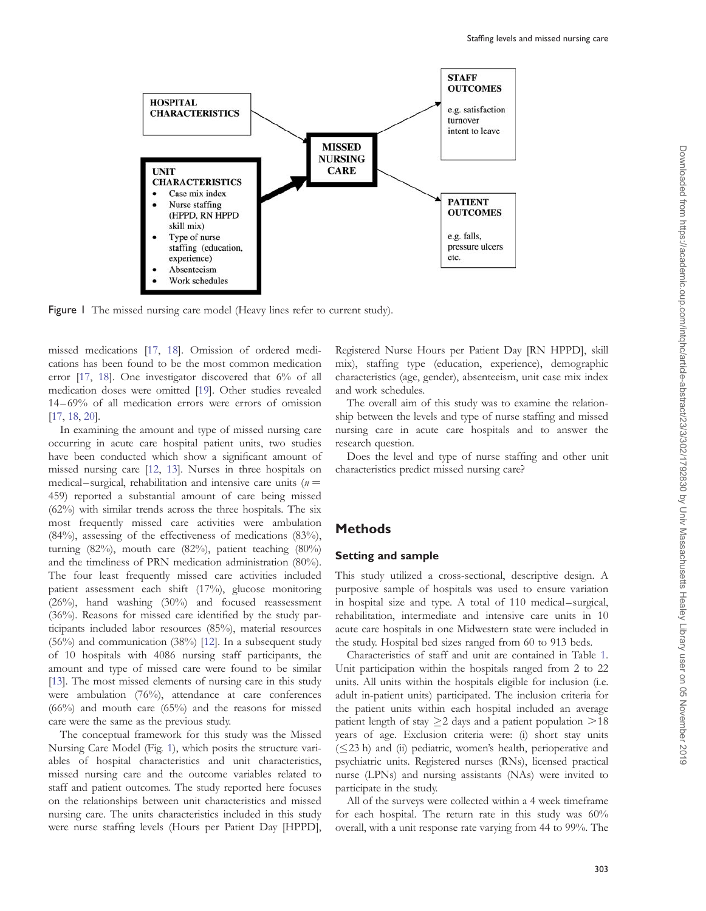

Figure 1 The missed nursing care model (Heavy lines refer to current study).

missed medications [[17](#page-6-0), [18](#page-6-0)]. Omission of ordered medications has been found to be the most common medication error [[17](#page-6-0), [18\]](#page-6-0). One investigator discovered that 6% of all medication doses were omitted [[19](#page-6-0)]. Other studies revealed 14 –69% of all medication errors were errors of omission [[17](#page-6-0), [18](#page-6-0), [20](#page-6-0)].

In examining the amount and type of missed nursing care occurring in acute care hospital patient units, two studies have been conducted which show a significant amount of missed nursing care [\[12,](#page-6-0) [13\]](#page-6-0). Nurses in three hospitals on medical – surgical, rehabilitation and intensive care units ( $n =$ 459) reported a substantial amount of care being missed (62%) with similar trends across the three hospitals. The six most frequently missed care activities were ambulation  $(84%)$ , assessing of the effectiveness of medications  $(83%)$ , turning  $(82\%)$ , mouth care  $(82\%)$ , patient teaching  $(80\%)$ and the timeliness of PRN medication administration (80%). The four least frequently missed care activities included patient assessment each shift (17%), glucose monitoring (26%), hand washing (30%) and focused reassessment (36%). Reasons for missed care identified by the study participants included labor resources (85%), material resources (56%) and communication (38%) [[12](#page-6-0)]. In a subsequent study of 10 hospitals with 4086 nursing staff participants, the amount and type of missed care were found to be similar [[13](#page-6-0)]. The most missed elements of nursing care in this study were ambulation (76%), attendance at care conferences  $(66%)$  and mouth care  $(65%)$  and the reasons for missed care were the same as the previous study.

The conceptual framework for this study was the Missed Nursing Care Model (Fig. 1), which posits the structure variables of hospital characteristics and unit characteristics, missed nursing care and the outcome variables related to staff and patient outcomes. The study reported here focuses on the relationships between unit characteristics and missed nursing care. The units characteristics included in this study were nurse staffing levels (Hours per Patient Day [HPPD],

Registered Nurse Hours per Patient Day [RN HPPD], skill mix), staffing type (education, experience), demographic characteristics (age, gender), absenteeism, unit case mix index and work schedules.

The overall aim of this study was to examine the relationship between the levels and type of nurse staffing and missed nursing care in acute care hospitals and to answer the research question.

Does the level and type of nurse staffing and other unit characteristics predict missed nursing care?

# **Methods**

## Setting and sample

This study utilized a cross-sectional, descriptive design. A purposive sample of hospitals was used to ensure variation in hospital size and type. A total of 110 medical-surgical, rehabilitation, intermediate and intensive care units in 10 acute care hospitals in one Midwestern state were included in the study. Hospital bed sizes ranged from 60 to 913 beds.

Characteristics of staff and unit are contained in Table [1.](#page-2-0) Unit participation within the hospitals ranged from 2 to 22 units. All units within the hospitals eligible for inclusion (i.e. adult in-patient units) participated. The inclusion criteria for the patient units within each hospital included an average patient length of stay  $\geq$  2 days and a patient population  $>$  18 years of age. Exclusion criteria were: (i) short stay units  $(\leq$  23 h) and (ii) pediatric, women's health, perioperative and psychiatric units. Registered nurses (RNs), licensed practical nurse (LPNs) and nursing assistants (NAs) were invited to participate in the study.

All of the surveys were collected within a 4 week timeframe for each hospital. The return rate in this study was 60% overall, with a unit response rate varying from 44 to 99%. The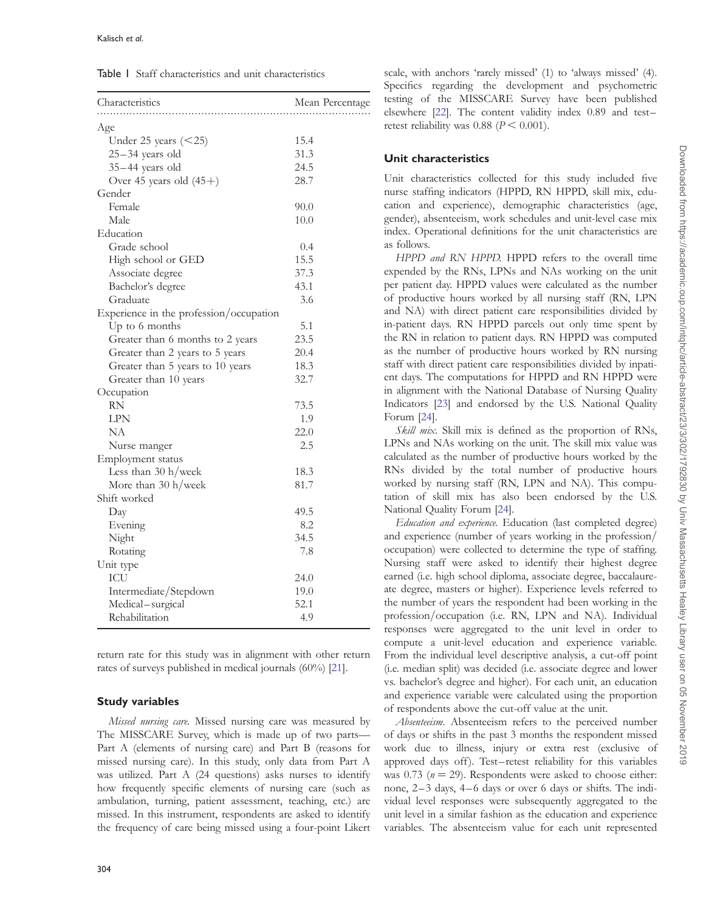<span id="page-2-0"></span>Table 1 Staff characteristics and unit characteristics

| Characteristics                         | Mean Percentage |
|-----------------------------------------|-----------------|
| Age                                     |                 |
| Under 25 years $(<25)$                  | 15.4            |
| 25-34 years old                         | 31.3            |
| 35-44 years old                         | 24.5            |
| Over 45 years old $(45+)$               | 28.7            |
| Gender                                  |                 |
| Female                                  | 90.0            |
| Male                                    | 10.0            |
| Education                               |                 |
| Grade school                            | 0.4             |
| High school or GED                      | 15.5            |
| Associate degree                        | 37.3            |
| Bachelor's degree                       | 43.1            |
| Graduate                                | 3.6             |
| Experience in the profession/occupation |                 |
| Up to 6 months                          | 5.1             |
| Greater than 6 months to 2 years        | 23.5            |
| Greater than 2 years to 5 years         | 20.4            |
| Greater than 5 years to 10 years        | 18.3            |
| Greater than 10 years                   | 32.7            |
| Occupation                              |                 |
| <b>RN</b>                               | 73.5            |
| <b>LPN</b>                              | 1.9             |
| NA                                      | 22.0            |
| Nurse manger                            | 2.5             |
| Employment status                       |                 |
| Less than $30 h$ /week                  | 18.3            |
| More than $30 h$ /week                  | 81.7            |
| Shift worked                            |                 |
| Day                                     | 49.5            |
| Evening                                 | 8.2             |
| Night                                   | 34.5            |
| Rotating                                | 7.8             |
| Unit type                               |                 |
| ICU                                     | 24.0            |
| Intermediate/Stepdown                   | 19.0            |
| Medical-surgical                        | 52.1            |
| Rehabilitation                          | 4.9             |

return rate for this study was in alignment with other return rates of surveys published in medical journals (60%) [[21](#page-6-0)].

#### Study variables

Missed nursing care. Missed nursing care was measured by The MISSCARE Survey, which is made up of two parts— Part A (elements of nursing care) and Part B (reasons for missed nursing care). In this study, only data from Part A was utilized. Part A (24 questions) asks nurses to identify how frequently specific elements of nursing care (such as ambulation, turning, patient assessment, teaching, etc.) are missed. In this instrument, respondents are asked to identify the frequency of care being missed using a four-point Likert scale, with anchors 'rarely missed' (1) to 'always missed' (4). Specifics regarding the development and psychometric testing of the MISSCARE Survey have been published elsewhere [[22](#page-6-0)]. The content validity index 0.89 and test– retest reliability was  $0.88$  ( $P < 0.001$ ).

## Unit characteristics

Unit characteristics collected for this study included five nurse staffing indicators (HPPD, RN HPPD, skill mix, education and experience), demographic characteristics (age, gender), absenteeism, work schedules and unit-level case mix index. Operational definitions for the unit characteristics are as follows.

HPPD and RN HPPD. HPPD refers to the overall time expended by the RNs, LPNs and NAs working on the unit per patient day. HPPD values were calculated as the number of productive hours worked by all nursing staff (RN, LPN and NA) with direct patient care responsibilities divided by in-patient days. RN HPPD parcels out only time spent by the RN in relation to patient days. RN HPPD was computed as the number of productive hours worked by RN nursing staff with direct patient care responsibilities divided by inpatient days. The computations for HPPD and RN HPPD were in alignment with the National Database of Nursing Quality Indicators [\[23\]](#page-6-0) and endorsed by the U.S. National Quality Forum [\[24\]](#page-6-0).

Skill mix. Skill mix is defined as the proportion of RNs, LPNs and NAs working on the unit. The skill mix value was calculated as the number of productive hours worked by the RNs divided by the total number of productive hours worked by nursing staff (RN, LPN and NA). This computation of skill mix has also been endorsed by the U.S. National Quality Forum [[24](#page-6-0)].

Education and experience. Education (last completed degree) and experience (number of years working in the profession/ occupation) were collected to determine the type of staffing. Nursing staff were asked to identify their highest degree earned (i.e. high school diploma, associate degree, baccalaureate degree, masters or higher). Experience levels referred to the number of years the respondent had been working in the profession/occupation (i.e. RN, LPN and NA). Individual responses were aggregated to the unit level in order to compute a unit-level education and experience variable. From the individual level descriptive analysis, a cut-off point (i.e. median split) was decided (i.e. associate degree and lower vs. bachelor's degree and higher). For each unit, an education and experience variable were calculated using the proportion of respondents above the cut-off value at the unit.

Absenteeism. Absenteeism refers to the perceived number of days or shifts in the past 3 months the respondent missed work due to illness, injury or extra rest (exclusive of approved days off). Test– retest reliability for this variables was 0.73 ( $n = 29$ ). Respondents were asked to choose either: none, 2–3 days, 4–6 days or over 6 days or shifts. The individual level responses were subsequently aggregated to the unit level in a similar fashion as the education and experience variables. The absenteeism value for each unit represented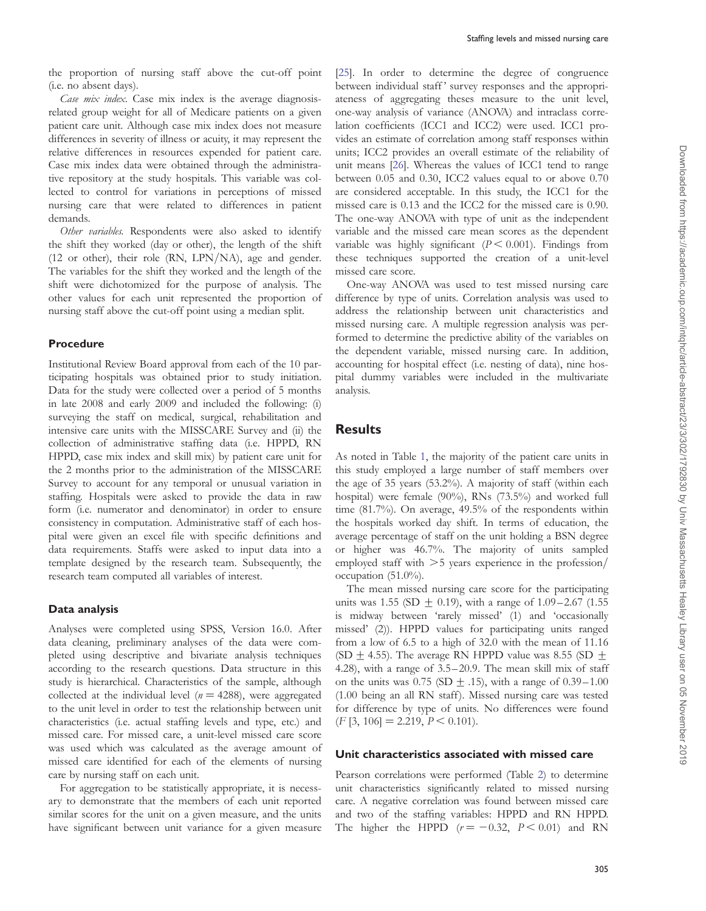the proportion of nursing staff above the cut-off point (i.e. no absent days).

Case mix index. Case mix index is the average diagnosisrelated group weight for all of Medicare patients on a given patient care unit. Although case mix index does not measure differences in severity of illness or acuity, it may represent the relative differences in resources expended for patient care. Case mix index data were obtained through the administrative repository at the study hospitals. This variable was collected to control for variations in perceptions of missed nursing care that were related to differences in patient demands.

Other variables. Respondents were also asked to identify the shift they worked (day or other), the length of the shift (12 or other), their role (RN, LPN/NA), age and gender. The variables for the shift they worked and the length of the shift were dichotomized for the purpose of analysis. The other values for each unit represented the proportion of nursing staff above the cut-off point using a median split.

#### Procedure

Institutional Review Board approval from each of the 10 participating hospitals was obtained prior to study initiation. Data for the study were collected over a period of 5 months in late 2008 and early 2009 and included the following: (i) surveying the staff on medical, surgical, rehabilitation and intensive care units with the MISSCARE Survey and (ii) the collection of administrative staffing data (i.e. HPPD, RN HPPD, case mix index and skill mix) by patient care unit for the 2 months prior to the administration of the MISSCARE Survey to account for any temporal or unusual variation in staffing. Hospitals were asked to provide the data in raw form (i.e. numerator and denominator) in order to ensure consistency in computation. Administrative staff of each hospital were given an excel file with specific definitions and data requirements. Staffs were asked to input data into a template designed by the research team. Subsequently, the research team computed all variables of interest.

#### Data analysis

Analyses were completed using SPSS, Version 16.0. After data cleaning, preliminary analyses of the data were completed using descriptive and bivariate analysis techniques according to the research questions. Data structure in this study is hierarchical. Characteristics of the sample, although collected at the individual level ( $n = 4288$ ), were aggregated to the unit level in order to test the relationship between unit characteristics (i.e. actual staffing levels and type, etc.) and missed care. For missed care, a unit-level missed care score was used which was calculated as the average amount of missed care identified for each of the elements of nursing care by nursing staff on each unit.

For aggregation to be statistically appropriate, it is necessary to demonstrate that the members of each unit reported similar scores for the unit on a given measure, and the units have significant between unit variance for a given measure

[[25](#page-6-0)]. In order to determine the degree of congruence between individual staff' survey responses and the appropriateness of aggregating theses measure to the unit level, one-way analysis of variance (ANOVA) and intraclass correlation coefficients (ICC1 and ICC2) were used. ICC1 provides an estimate of correlation among staff responses within units; ICC2 provides an overall estimate of the reliability of unit means [[26](#page-6-0)]. Whereas the values of ICC1 tend to range between 0.05 and 0.30, ICC2 values equal to or above 0.70 are considered acceptable. In this study, the ICC1 for the missed care is 0.13 and the ICC2 for the missed care is 0.90. The one-way ANOVA with type of unit as the independent variable and the missed care mean scores as the dependent variable was highly significant ( $P \le 0.001$ ). Findings from these techniques supported the creation of a unit-level missed care score.

One-way ANOVA was used to test missed nursing care difference by type of units. Correlation analysis was used to address the relationship between unit characteristics and missed nursing care. A multiple regression analysis was performed to determine the predictive ability of the variables on the dependent variable, missed nursing care. In addition, accounting for hospital effect (i.e. nesting of data), nine hospital dummy variables were included in the multivariate analysis.

## **Results**

As noted in Table [1](#page-2-0), the majority of the patient care units in this study employed a large number of staff members over the age of 35 years (53.2%). A majority of staff (within each hospital) were female (90%), RNs (73.5%) and worked full time (81.7%). On average, 49.5% of the respondents within the hospitals worked day shift. In terms of education, the average percentage of staff on the unit holding a BSN degree or higher was 46.7%. The majority of units sampled employed staff with  $>5$  years experience in the profession/ occupation (51.0%).

The mean missed nursing care score for the participating units was 1.55 (SD  $\pm$  0.19), with a range of 1.09–2.67 (1.55 is midway between 'rarely missed' (1) and 'occasionally missed' (2)). HPPD values for participating units ranged from a low of 6.5 to a high of 32.0 with the mean of 11.16  $(SD + 4.55)$ . The average RN HPPD value was 8.55  $(SD +$ 4.28), with a range of 3.5 –20.9. The mean skill mix of staff on the units was  $0.75$  (SD  $\pm$  .15), with a range of  $0.39-1.00$ (1.00 being an all RN staff). Missed nursing care was tested for difference by type of units. No differences were found  $(F [3, 106] = 2.219, P < 0.101).$ 

### Unit characteristics associated with missed care

Pearson correlations were performed (Table [2](#page-4-0)) to determine unit characteristics significantly related to missed nursing care. A negative correlation was found between missed care and two of the staffing variables: HPPD and RN HPPD. The higher the HPPD  $(r = -0.32, P < 0.01)$  and RN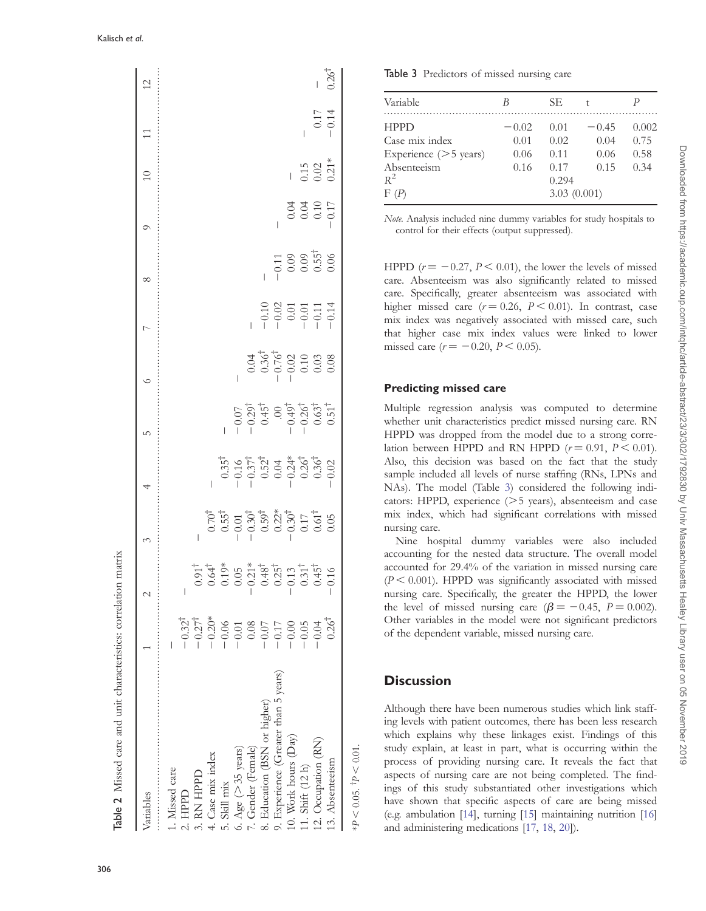<span id="page-4-0"></span>

|                                                                                                                                                                                                                                                                                                                                                                                                                                                                |                                                                                                                                                                                         | ι∩                                                                                                                                                                                                                                                                                                          | ∽                                                                                                                               |                                                                                                                       | $\infty$                                                                                   | ○                                                            |                             |                                                       | $\overline{2}$     |
|----------------------------------------------------------------------------------------------------------------------------------------------------------------------------------------------------------------------------------------------------------------------------------------------------------------------------------------------------------------------------------------------------------------------------------------------------------------|-----------------------------------------------------------------------------------------------------------------------------------------------------------------------------------------|-------------------------------------------------------------------------------------------------------------------------------------------------------------------------------------------------------------------------------------------------------------------------------------------------------------|---------------------------------------------------------------------------------------------------------------------------------|-----------------------------------------------------------------------------------------------------------------------|--------------------------------------------------------------------------------------------|--------------------------------------------------------------|-----------------------------|-------------------------------------------------------|--------------------|
|                                                                                                                                                                                                                                                                                                                                                                                                                                                                |                                                                                                                                                                                         |                                                                                                                                                                                                                                                                                                             |                                                                                                                                 |                                                                                                                       |                                                                                            |                                                              |                             |                                                       |                    |
| I                                                                                                                                                                                                                                                                                                                                                                                                                                                              |                                                                                                                                                                                         |                                                                                                                                                                                                                                                                                                             |                                                                                                                                 |                                                                                                                       |                                                                                            |                                                              |                             |                                                       |                    |
|                                                                                                                                                                                                                                                                                                                                                                                                                                                                |                                                                                                                                                                                         |                                                                                                                                                                                                                                                                                                             |                                                                                                                                 |                                                                                                                       |                                                                                            |                                                              |                             |                                                       |                    |
|                                                                                                                                                                                                                                                                                                                                                                                                                                                                |                                                                                                                                                                                         |                                                                                                                                                                                                                                                                                                             |                                                                                                                                 |                                                                                                                       |                                                                                            |                                                              |                             |                                                       |                    |
|                                                                                                                                                                                                                                                                                                                                                                                                                                                                |                                                                                                                                                                                         |                                                                                                                                                                                                                                                                                                             |                                                                                                                                 |                                                                                                                       |                                                                                            |                                                              |                             |                                                       |                    |
|                                                                                                                                                                                                                                                                                                                                                                                                                                                                |                                                                                                                                                                                         |                                                                                                                                                                                                                                                                                                             |                                                                                                                                 |                                                                                                                       |                                                                                            |                                                              |                             |                                                       |                    |
|                                                                                                                                                                                                                                                                                                                                                                                                                                                                |                                                                                                                                                                                         |                                                                                                                                                                                                                                                                                                             |                                                                                                                                 |                                                                                                                       |                                                                                            |                                                              |                             |                                                       |                    |
|                                                                                                                                                                                                                                                                                                                                                                                                                                                                |                                                                                                                                                                                         |                                                                                                                                                                                                                                                                                                             |                                                                                                                                 |                                                                                                                       |                                                                                            |                                                              |                             |                                                       |                    |
|                                                                                                                                                                                                                                                                                                                                                                                                                                                                |                                                                                                                                                                                         |                                                                                                                                                                                                                                                                                                             |                                                                                                                                 |                                                                                                                       |                                                                                            |                                                              |                             |                                                       |                    |
|                                                                                                                                                                                                                                                                                                                                                                                                                                                                |                                                                                                                                                                                         |                                                                                                                                                                                                                                                                                                             |                                                                                                                                 |                                                                                                                       |                                                                                            |                                                              |                             |                                                       |                    |
|                                                                                                                                                                                                                                                                                                                                                                                                                                                                |                                                                                                                                                                                         |                                                                                                                                                                                                                                                                                                             |                                                                                                                                 |                                                                                                                       |                                                                                            |                                                              |                             |                                                       |                    |
|                                                                                                                                                                                                                                                                                                                                                                                                                                                                |                                                                                                                                                                                         |                                                                                                                                                                                                                                                                                                             |                                                                                                                                 |                                                                                                                       |                                                                                            |                                                              |                             |                                                       |                    |
|                                                                                                                                                                                                                                                                                                                                                                                                                                                                |                                                                                                                                                                                         |                                                                                                                                                                                                                                                                                                             |                                                                                                                                 |                                                                                                                       |                                                                                            |                                                              |                             |                                                       | $0.26^{\dagger}$   |
| $\begin{array}{l} \mathbf{1} \\ \mathbf{1} \\ \mathbf{1} \\ \mathbf{2} \\ \mathbf{3} \\ \mathbf{4} \\ \mathbf{5} \\ \mathbf{6} \\ \mathbf{7} \\ \mathbf{8} \\ \mathbf{9} \\ \mathbf{1} \\ \mathbf{1} \\ \mathbf{2} \\ \mathbf{4} \\ \mathbf{5} \\ \mathbf{6} \\ \mathbf{7} \\ \mathbf{8} \\ \mathbf{9} \\ \mathbf{1} \\ \mathbf{1} \\ \mathbf{1} \\ \mathbf{2} \\ \mathbf{1} \\ \mathbf{2} \\ \mathbf{3} \\ \mathbf{4} \\ \mathbf{5} \\ \mathbf{6} \\ \mathbf$ | $\begin{array}{c} 0.70^{\text{t}}\\ 0.55^{\text{t}}\\ -0.01\\ 0.59^{\text{t}}\\ 0.59^{\text{t}}\\ 0.59^{\text{t}}\\ 0.22^{\text{t}}\\ 0.17\\ 0.61^{\text{t}}\\ 0.05\\ 0.05 \end{array}$ | $\begin{array}{l} 0.35 \\ 0.16 \\ 0.57 \\ 0.52 \\ 0.64 \\ 0.235 \\ 0.030 \\ 0.030 \\ 0.030 \\ 0.01 \\ 0.02 \\ 0.01 \\ 0.02 \\ 0.02 \\ 0.01 \\ 0.02 \\ 0.02 \\ 0.02 \\ 0.02 \\ 0.03 \\ 0.03 \\ 0.04 \\ 0.03 \\ 0.04 \\ 0.03 \\ 0.03 \\ 0.04 \\ 0.03 \\ 0.03 \\ 0.03 \\ 0.03 \\ 0.03 \\ 0.03 \\ 0.03 \\ 0.03$ | $-0.07$<br>$-0.29$ <sup>†</sup><br>$-0.45$ <sup>†</sup><br>$-0.36$ <sup>†</sup><br>$-0.26$ <sup>†</sup><br>$-0.51$ <sup>†</sup> | $\begin{array}{c} 0.04 \\ 0.36^{\dagger} \\ 0.76^{\dagger} \\ -0.76^{\dagger} \\ 0.10 \\ 0.03 \\ 0.03 \\ \end{array}$ | $\begin{array}{r} -0.10 \\ -0.02 \\ -0.01 \\ -0.01 \\ -0.11 \\ -0.11 \\ -0.14 \end{array}$ | $-0.11$<br>$0.09$<br>$0.09$<br>$0.55$ <sup>†</sup><br>$0.06$ | 110<br>0010<br>0010<br>0010 | $\begin{array}{c} 0.15 \\ 0.02 \\ 0.21^* \end{array}$ | $-0.17$<br>$-0.14$ |

Table 3 Predictors of missed nursing care

| Variable                  |         | SE.         | t       |       |
|---------------------------|---------|-------------|---------|-------|
| <b>HPPD</b>               | $-0.02$ | 0.01        | $-0.45$ | 0.002 |
| Case mix index            | 0.01    | 0.02        | 0.04    | 0.75  |
| Experience $($ > 5 years) | 0.06    | 0.11        | 0.06    | 0.58  |
| Absenteeism               | 0.16    | 0.17        | 0.15    | 0.34  |
| $R^2$                     |         | 0.294       |         |       |
| (P                        |         | 3.03(0.001) |         |       |

Note. Analysis included nine dummy variables for study hospitals to control for their effects (output suppressed).

HPPD  $(r = -0.27, P \le 0.01)$ , the lower the levels of missed care. Absenteeism was also significantly related to missed care. Specifically, greater absenteeism was associated with higher missed care  $(r = 0.26, P < 0.01)$ . In contrast, case mix index was negatively associated with missed care, such that higher case mix index values were linked to lower missed care  $(r = -0.20, P < 0.05)$ .

## Predicting missed care

Multiple regression analysis was computed to determine whether unit characteristics predict missed nursing care. RN HPPD was dropped from the model due to a strong correlation between HPPD and RN HPPD  $(r = 0.91, P < 0.01)$ . Also, this decision was based on the fact that the study sample included all levels of nurse staffing (RNs, LPNs and NAs). The model (Table 3) considered the following indicators: HPPD, experience  $($ > 5 years), absenteeism and case mix index, which had significant correlations with missed nursing care.

Nine hospital dummy variables were also included accounting for the nested data structure. The overall model accounted for 29.4% of the variation in missed nursing care  $(P < 0.001)$ . HPPD was significantly associated with missed nursing care. Specifically, the greater the HPPD, the lower the level of missed nursing care ( $\beta$  = -0.45, P = 0.002). Other variables in the model were not significant predictors of the dependent variable, missed nursing care.

# **Discussion**

\*P

 $< 0.05.$ <sup>†</sup> $p$ 

 $< 0.01$ .

Although there have been numerous studies which link staffing levels with patient outcomes, there has been less research which explains why these linkages exist. Findings of this study explain, at least in part, what is occurring within the process of providing nursing care. It reveals the fact that aspects of nursing care are not being completed. The findings of this study substantiated other investigations which have shown that specific aspects of care are being missed (e.g. ambulation [[14\]](#page-6-0), turning [[15](#page-6-0)] maintaining nutrition [\[16\]](#page-6-0) and administering medications [\[17](#page-6-0), [18,](#page-6-0) [20\]](#page-6-0)).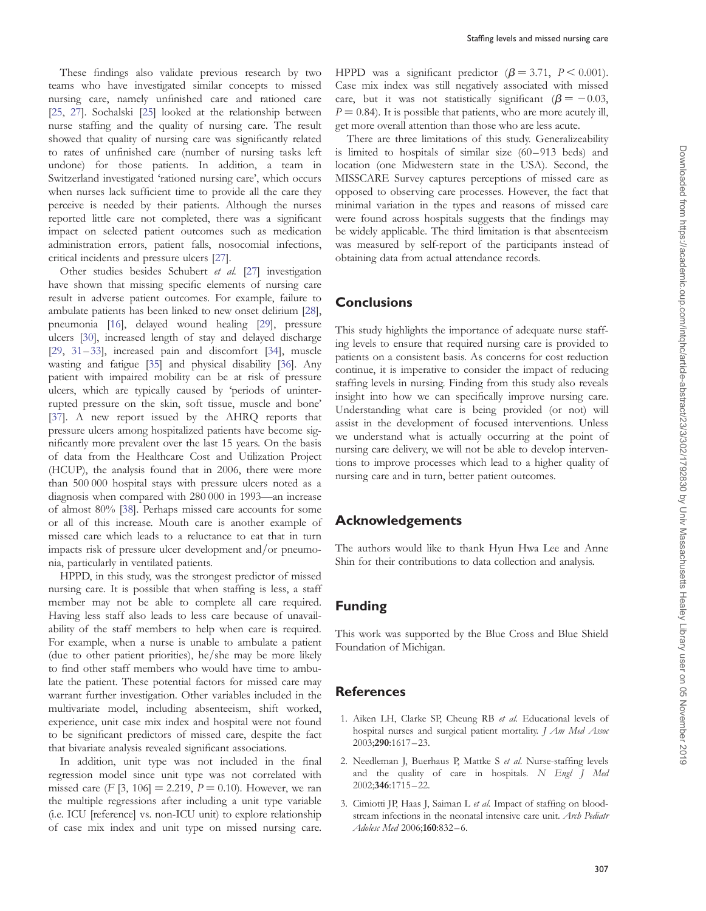<span id="page-5-0"></span>These findings also validate previous research by two teams who have investigated similar concepts to missed nursing care, namely unfinished care and rationed care [[25](#page-6-0), [27](#page-6-0)]. Sochalski [[25\]](#page-6-0) looked at the relationship between nurse staffing and the quality of nursing care. The result showed that quality of nursing care was significantly related to rates of unfinished care (number of nursing tasks left undone) for those patients. In addition, a team in Switzerland investigated 'rationed nursing care', which occurs when nurses lack sufficient time to provide all the care they perceive is needed by their patients. Although the nurses reported little care not completed, there was a significant impact on selected patient outcomes such as medication administration errors, patient falls, nosocomial infections, critical incidents and pressure ulcers [[27\]](#page-6-0).

Other studies besides Schubert et al. [[27](#page-6-0)] investigation have shown that missing specific elements of nursing care result in adverse patient outcomes. For example, failure to ambulate patients has been linked to new onset delirium [[28](#page-6-0)], pneumonia [[16\]](#page-6-0), delayed wound healing [\[29\]](#page-6-0), pressure ulcers [[30](#page-6-0)], increased length of stay and delayed discharge [[29](#page-6-0), [31](#page-6-0)–[33\]](#page-6-0), increased pain and discomfort [\[34\]](#page-6-0), muscle wasting and fatigue [\[35](#page-6-0)] and physical disability [\[36\]](#page-6-0). Any patient with impaired mobility can be at risk of pressure ulcers, which are typically caused by 'periods of uninterrupted pressure on the skin, soft tissue, muscle and bone' [[37](#page-6-0)]. A new report issued by the AHRQ reports that pressure ulcers among hospitalized patients have become significantly more prevalent over the last 15 years. On the basis of data from the Healthcare Cost and Utilization Project (HCUP), the analysis found that in 2006, there were more than 500 000 hospital stays with pressure ulcers noted as a diagnosis when compared with 280 000 in 1993—an increase of almost 80% [\[38\]](#page-6-0). Perhaps missed care accounts for some or all of this increase. Mouth care is another example of missed care which leads to a reluctance to eat that in turn impacts risk of pressure ulcer development and/or pneumonia, particularly in ventilated patients.

HPPD, in this study, was the strongest predictor of missed nursing care. It is possible that when staffing is less, a staff member may not be able to complete all care required. Having less staff also leads to less care because of unavailability of the staff members to help when care is required. For example, when a nurse is unable to ambulate a patient (due to other patient priorities), he/she may be more likely to find other staff members who would have time to ambulate the patient. These potential factors for missed care may warrant further investigation. Other variables included in the multivariate model, including absenteeism, shift worked, experience, unit case mix index and hospital were not found to be significant predictors of missed care, despite the fact that bivariate analysis revealed significant associations.

In addition, unit type was not included in the final regression model since unit type was not correlated with missed care (F [3, 106] = 2.219,  $P = 0.10$ ). However, we ran the multiple regressions after including a unit type variable (i.e. ICU [reference] vs. non-ICU unit) to explore relationship of case mix index and unit type on missed nursing care. HPPD was a significant predictor  $(\beta = 3.71, P < 0.001)$ . Case mix index was still negatively associated with missed care, but it was not statistically significant ( $\beta$  = -0.03,  $P = 0.84$ ). It is possible that patients, who are more acutely ill, get more overall attention than those who are less acute.

There are three limitations of this study. Generalizeability is limited to hospitals of similar size (60-913 beds) and location (one Midwestern state in the USA). Second, the MISSCARE Survey captures perceptions of missed care as opposed to observing care processes. However, the fact that minimal variation in the types and reasons of missed care were found across hospitals suggests that the findings may be widely applicable. The third limitation is that absenteeism was measured by self-report of the participants instead of obtaining data from actual attendance records.

## **Conclusions**

This study highlights the importance of adequate nurse staffing levels to ensure that required nursing care is provided to patients on a consistent basis. As concerns for cost reduction continue, it is imperative to consider the impact of reducing staffing levels in nursing. Finding from this study also reveals insight into how we can specifically improve nursing care. Understanding what care is being provided (or not) will assist in the development of focused interventions. Unless we understand what is actually occurring at the point of nursing care delivery, we will not be able to develop interventions to improve processes which lead to a higher quality of nursing care and in turn, better patient outcomes.

## Acknowledgements

The authors would like to thank Hyun Hwa Lee and Anne Shin for their contributions to data collection and analysis.

# Funding

This work was supported by the Blue Cross and Blue Shield Foundation of Michigan.

# **References**

- 1. Aiken LH, Clarke SP, Cheung RB et al. Educational levels of hospital nurses and surgical patient mortality. J Am Med Assoc 2003;290:1617 –23.
- 2. Needleman J, Buerhaus P, Mattke S et al. Nurse-staffing levels and the quality of care in hospitals. N Engl J Med 2002;346:1715 –22.
- 3. Cimiotti JP, Haas J, Saiman L et al. Impact of staffing on bloodstream infections in the neonatal intensive care unit. Arch Pediatr Adolesc Med 2006;160:832-6.